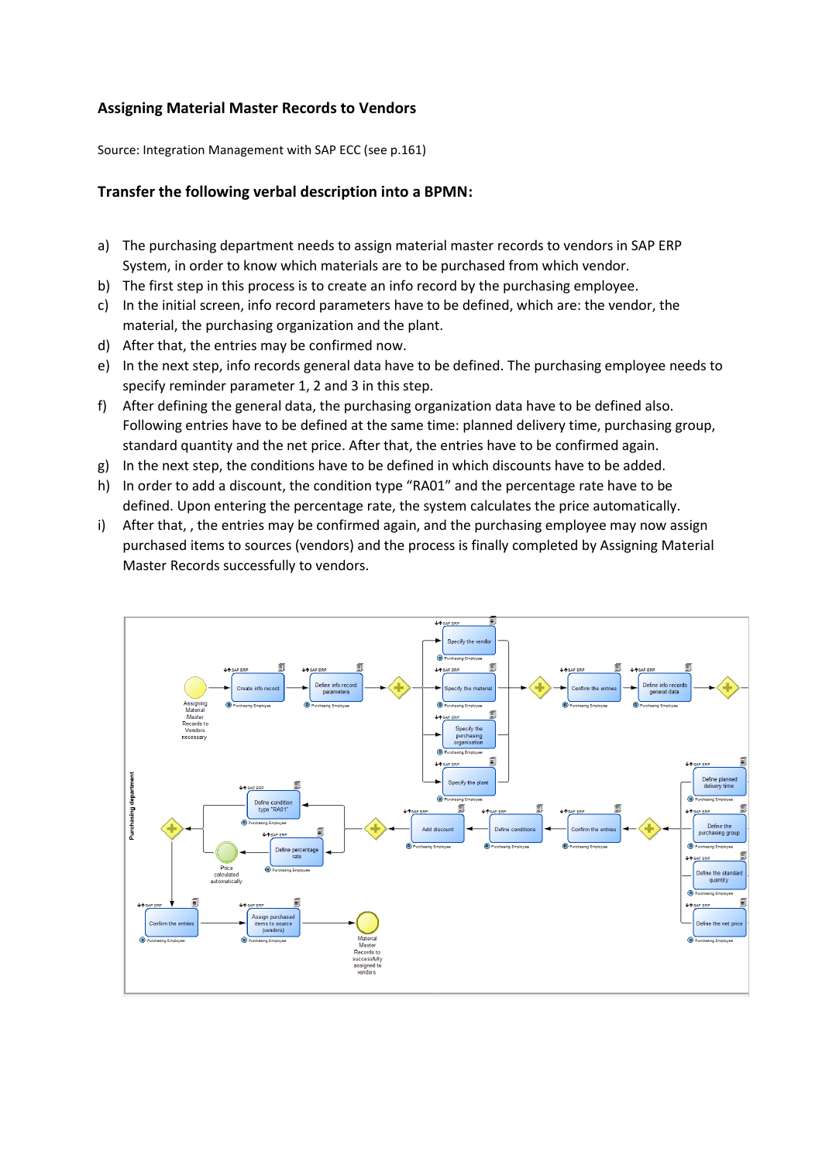## **Assigning Material Master Records to Vendors**

Source: Integration Management with SAP ECC (see p.161)

## **Transfer the following verbal description into a BPMN:**

- a) The purchasing department needs to assign material master records to vendors in SAP ERP System, in order to know which materials are to be purchased from which vendor.
- b) The first step in this process is to create an info record by the purchasing employee.
- c) In the initial screen, info record parameters have to be defined, which are: the vendor, the material, the purchasing organization and the plant.
- d) After that, the entries may be confirmed now.
- e) In the next step, info records general data have to be defined. The purchasing employee needs to specify reminder parameter 1, 2 and 3 in this step.
- f) After defining the general data, the purchasing organization data have to be defined also. Following entries have to be defined at the same time: planned delivery time, purchasing group, standard quantity and the net price. After that, the entries have to be confirmed again.
- g) In the next step, the conditions have to be defined in which discounts have to be added.
- h) In order to add a discount, the condition type "RA01" and the percentage rate have to be defined. Upon entering the percentage rate, the system calculates the price automatically.
- i) After that, , the entries may be confirmed again, and the purchasing employee may now assign purchased items to sources (vendors) and the process is finally completed by Assigning Material Master Records successfully to vendors.